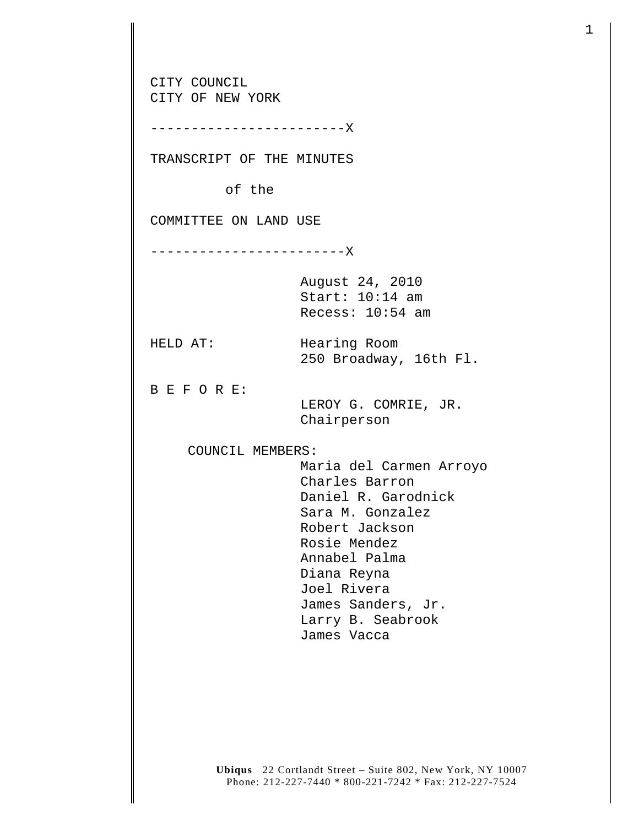CITY COUNCIL CITY OF NEW YORK ------------------------X TRANSCRIPT OF THE MINUTES of the COMMITTEE ON LAND USE ------------------------X August 24, 2010 Start: 10:14 am Recess: 10:54 am HELD AT: Hearing Room 250 Broadway, 16th Fl. B E F O R E: LEROY G. COMRIE, JR. Chairperson COUNCIL MEMBERS: Maria del Carmen Arroyo Charles Barron Daniel R. Garodnick Sara M. Gonzalez Robert Jackson Rosie Mendez Annabel Palma Diana Reyna Joel Rivera James Sanders, Jr. Larry B. Seabrook James Vacca

**Ubiqus** 22 Cortlandt Street – Suite 802, New York, NY 10007 Phone: 212-227-7440 \* 800-221-7242 \* Fax: 212-227-7524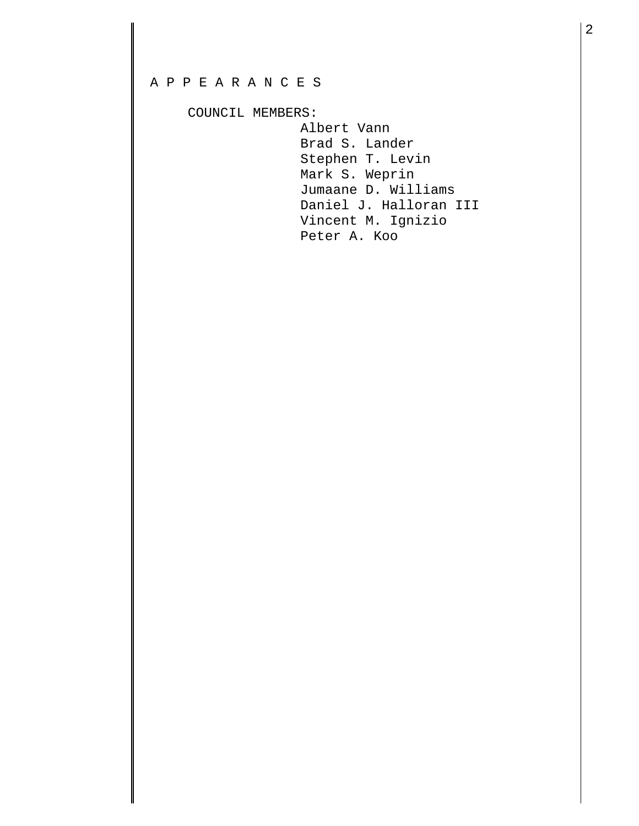## A P P E A R A N C E S

COUNCIL MEMBERS:

 Albert Vann Brad S. Lander Stephen T. Levin Mark S. Weprin Jumaane D. Williams Daniel J. Halloran III Vincent M. Ignizio Peter A. Koo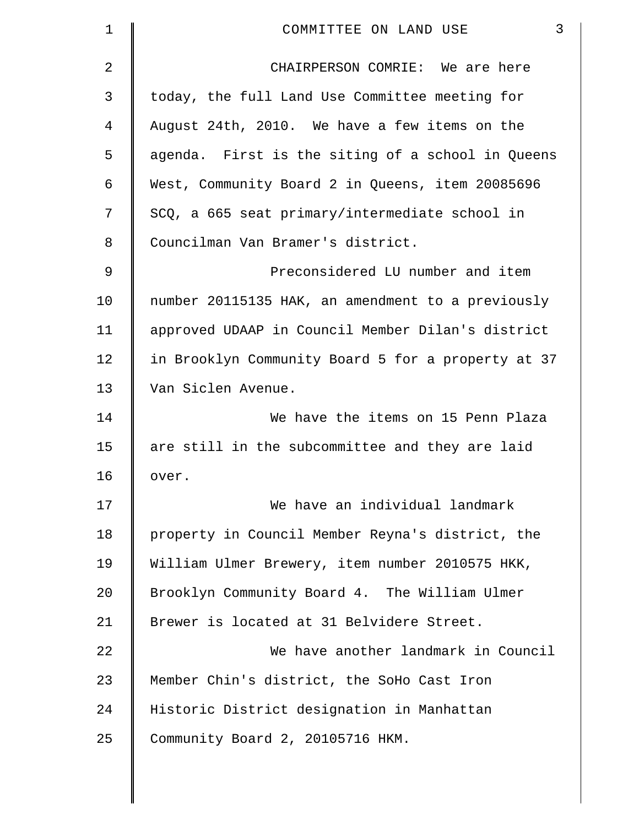| 1  | 3<br>COMMITTEE ON LAND USE                         |
|----|----------------------------------------------------|
| 2  | CHAIRPERSON COMRIE: We are here                    |
| 3  | today, the full Land Use Committee meeting for     |
| 4  | August 24th, 2010. We have a few items on the      |
| 5  | agenda. First is the siting of a school in Queens  |
| 6  | West, Community Board 2 in Queens, item 20085696   |
| 7  | SCQ, a 665 seat primary/intermediate school in     |
| 8  | Councilman Van Bramer's district.                  |
| 9  | Preconsidered LU number and item                   |
| 10 | number 20115135 HAK, an amendment to a previously  |
| 11 | approved UDAAP in Council Member Dilan's district  |
| 12 | in Brooklyn Community Board 5 for a property at 37 |
| 13 | Van Siclen Avenue.                                 |
| 14 | We have the items on 15 Penn Plaza                 |
| 15 | are still in the subcommittee and they are laid    |
| 16 | over.                                              |
| 17 | We have an individual landmark                     |
| 18 | property in Council Member Reyna's district, the   |
| 19 | William Ulmer Brewery, item number 2010575 HKK,    |
| 20 | Brooklyn Community Board 4. The William Ulmer      |
| 21 | Brewer is located at 31 Belvidere Street.          |
| 22 | We have another landmark in Council                |
| 23 | Member Chin's district, the SoHo Cast Iron         |
| 24 | Historic District designation in Manhattan         |
| 25 | Community Board 2, 20105716 HKM.                   |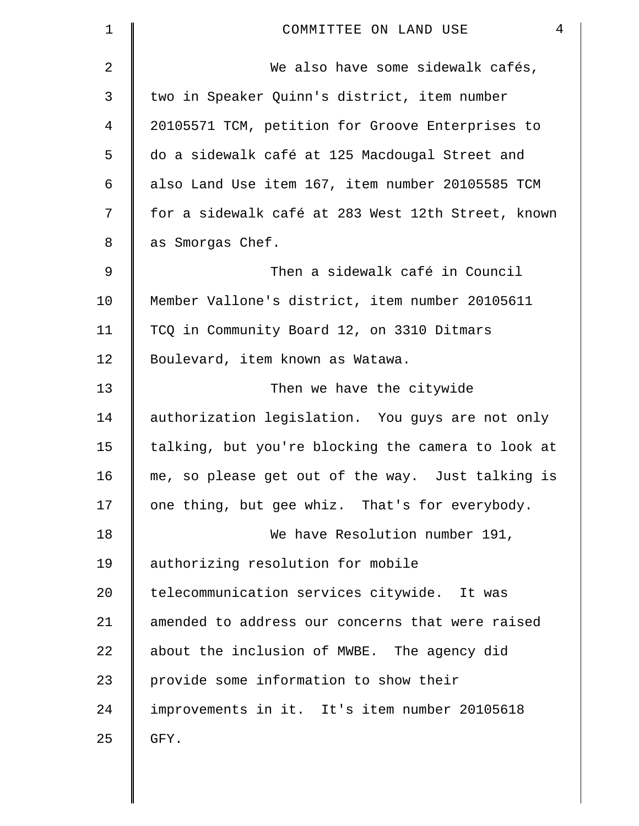| 1  | 4<br>COMMITTEE ON LAND USE                         |
|----|----------------------------------------------------|
| 2  | We also have some sidewalk cafés,                  |
| 3  | two in Speaker Quinn's district, item number       |
| 4  | 20105571 TCM, petition for Groove Enterprises to   |
| 5  | do a sidewalk café at 125 Macdougal Street and     |
| 6  | also Land Use item 167, item number 20105585 TCM   |
| 7  | for a sidewalk café at 283 West 12th Street, known |
| 8  | as Smorgas Chef.                                   |
| 9  | Then a sidewalk café in Council                    |
| 10 | Member Vallone's district, item number 20105611    |
| 11 | TCQ in Community Board 12, on 3310 Ditmars         |
| 12 | Boulevard, item known as Watawa.                   |
| 13 | Then we have the citywide                          |
| 14 | authorization legislation. You guys are not only   |
| 15 | talking, but you're blocking the camera to look at |
| 16 | me, so please get out of the way. Just talking is  |
| 17 | one thing, but gee whiz. That's for everybody.     |
| 18 | We have Resolution number 191,                     |
| 19 | authorizing resolution for mobile                  |
| 20 | telecommunication services citywide. It was        |
| 21 | amended to address our concerns that were raised   |
| 22 | about the inclusion of MWBE. The agency did        |
| 23 | provide some information to show their             |
| 24 | improvements in it. It's item number 20105618      |
| 25 | GFY.                                               |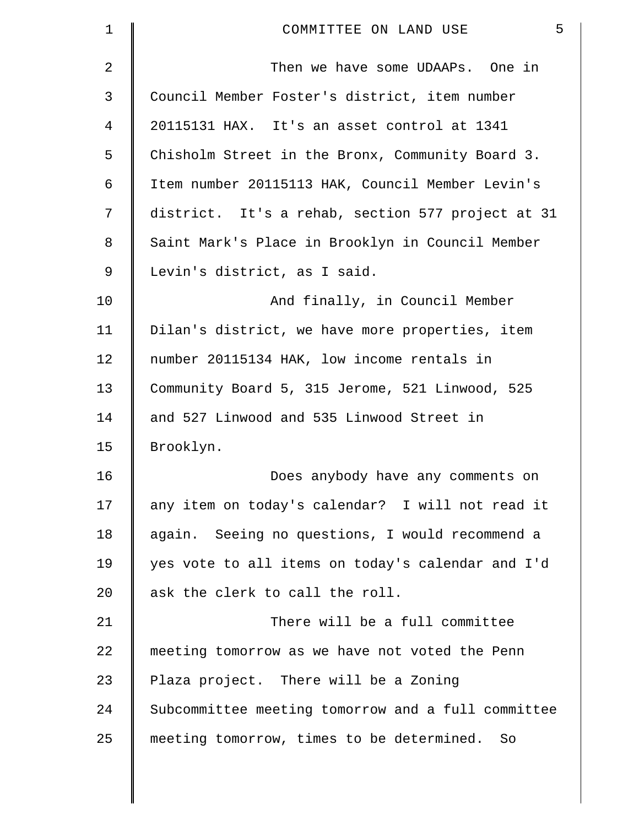| 1  | 5<br>COMMITTEE ON LAND USE                         |
|----|----------------------------------------------------|
| 2  | Then we have some UDAAPs. One in                   |
| 3  | Council Member Foster's district, item number      |
| 4  | 20115131 HAX. It's an asset control at 1341        |
| 5  | Chisholm Street in the Bronx, Community Board 3.   |
| 6  | Item number 20115113 HAK, Council Member Levin's   |
| 7  | district. It's a rehab, section 577 project at 31  |
| 8  | Saint Mark's Place in Brooklyn in Council Member   |
| 9  | Levin's district, as I said.                       |
| 10 | And finally, in Council Member                     |
| 11 | Dilan's district, we have more properties, item    |
| 12 | number 20115134 HAK, low income rentals in         |
| 13 | Community Board 5, 315 Jerome, 521 Linwood, 525    |
| 14 | and 527 Linwood and 535 Linwood Street in          |
| 15 | Brooklyn.                                          |
| 16 | Does anybody have any comments on                  |
| 17 | any item on today's calendar? I will not read it   |
| 18 | again. Seeing no questions, I would recommend a    |
| 19 | yes vote to all items on today's calendar and I'd  |
| 20 | ask the clerk to call the roll.                    |
| 21 | There will be a full committee                     |
| 22 | meeting tomorrow as we have not voted the Penn     |
| 23 | Plaza project. There will be a Zoning              |
| 24 | Subcommittee meeting tomorrow and a full committee |
| 25 | meeting tomorrow, times to be determined. So       |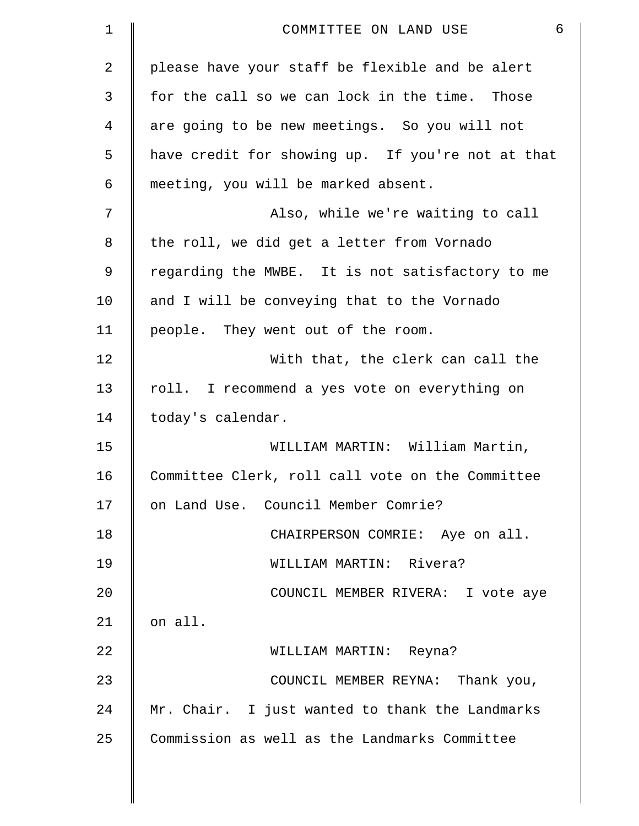| $\mathbf 1$    | 6<br>COMMITTEE ON LAND USE                        |
|----------------|---------------------------------------------------|
| $\overline{2}$ | please have your staff be flexible and be alert   |
| 3              | for the call so we can lock in the time. Those    |
| 4              | are going to be new meetings. So you will not     |
| 5              | have credit for showing up. If you're not at that |
| 6              | meeting, you will be marked absent.               |
| 7              | Also, while we're waiting to call                 |
| 8              | the roll, we did get a letter from Vornado        |
| 9              | regarding the MWBE. It is not satisfactory to me  |
| 10             | and I will be conveying that to the Vornado       |
| 11             | people. They went out of the room.                |
| 12             | With that, the clerk can call the                 |
| 13             | roll. I recommend a yes vote on everything on     |
| 14             | today's calendar.                                 |
| 15             | WILLIAM MARTIN: William Martin,                   |
| 16             | Committee Clerk, roll call vote on the Committee  |
| 17             | on Land Use. Council Member Comrie?               |
| 18             | CHAIRPERSON COMRIE: Aye on all.                   |
| 19             | WILLIAM MARTIN: Rivera?                           |
| 20             | COUNCIL MEMBER RIVERA: I vote aye                 |
| 21             | on all.                                           |
| 22             | WILLIAM MARTIN: Reyna?                            |
| 23             | COUNCIL MEMBER REYNA: Thank you,                  |
| 24             | Mr. Chair. I just wanted to thank the Landmarks   |
| 25             | Commission as well as the Landmarks Committee     |
|                |                                                   |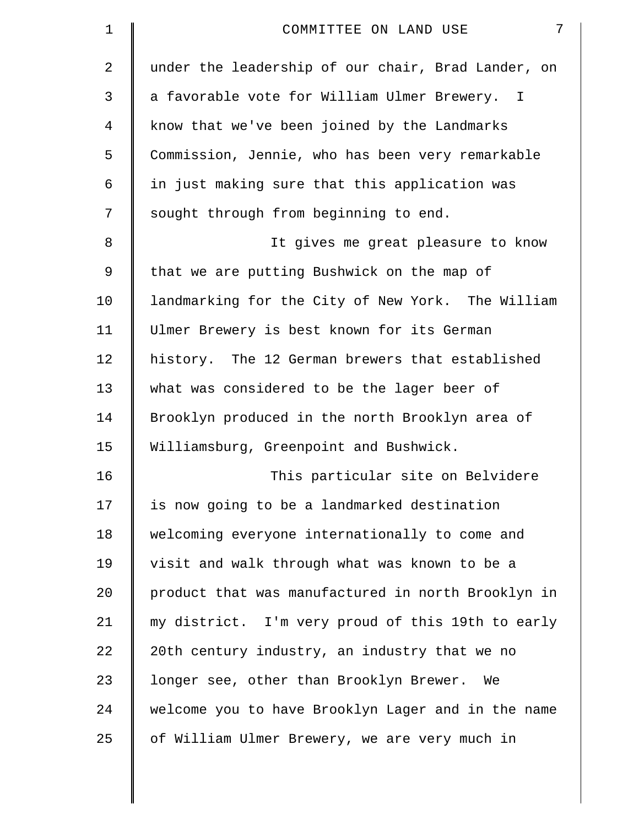| $\mathbf 1$ | $7\phantom{.}$<br>COMMITTEE ON LAND USE            |
|-------------|----------------------------------------------------|
| 2           | under the leadership of our chair, Brad Lander, on |
| 3           | a favorable vote for William Ulmer Brewery. I      |
| 4           | know that we've been joined by the Landmarks       |
| 5           | Commission, Jennie, who has been very remarkable   |
| 6           | in just making sure that this application was      |
| 7           | sought through from beginning to end.              |
| 8           | It gives me great pleasure to know                 |
| 9           | that we are putting Bushwick on the map of         |
| 10          | landmarking for the City of New York. The William  |
| 11          | Ulmer Brewery is best known for its German         |
| 12          | history. The 12 German brewers that established    |
| 13          | what was considered to be the lager beer of        |
| 14          | Brooklyn produced in the north Brooklyn area of    |
| 15          | Williamsburg, Greenpoint and Bushwick.             |
| 16          | This particular site on Belvidere                  |
| 17          | is now going to be a landmarked destination        |
| 18          | welcoming everyone internationally to come and     |
| 19          | visit and walk through what was known to be a      |
| 20          | product that was manufactured in north Brooklyn in |
| 21          | my district. I'm very proud of this 19th to early  |
| 22          | 20th century industry, an industry that we no      |
| 23          | longer see, other than Brooklyn Brewer.<br>We      |
| 24          | welcome you to have Brooklyn Lager and in the name |
| 25          | of William Ulmer Brewery, we are very much in      |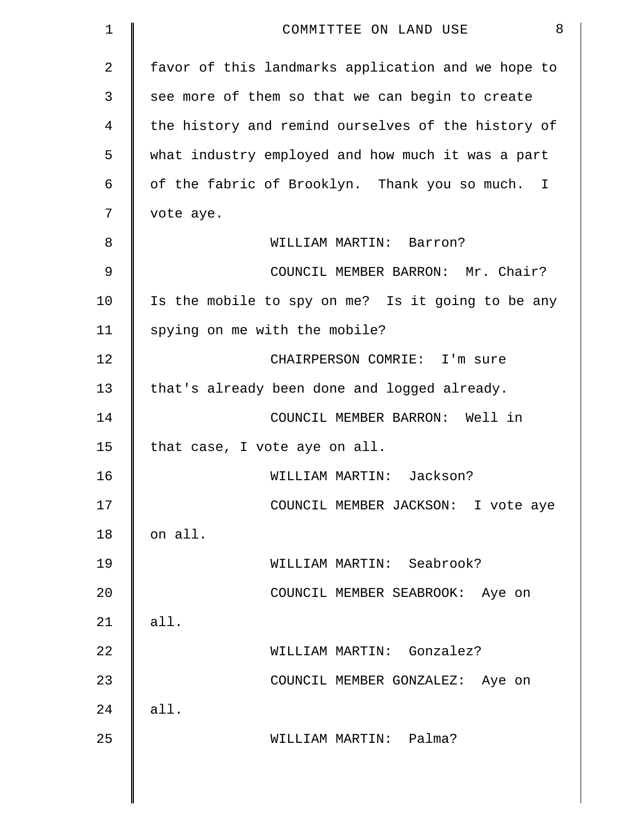| 1             | 8<br>COMMITTEE ON LAND USE                         |
|---------------|----------------------------------------------------|
| 2             | favor of this landmarks application and we hope to |
| 3             | see more of them so that we can begin to create    |
| 4             | the history and remind ourselves of the history of |
| 5             | what industry employed and how much it was a part  |
| 6             | of the fabric of Brooklyn. Thank you so much. I    |
| 7             | vote aye.                                          |
| 8             | WILLIAM MARTIN: Barron?                            |
| $\mathcal{G}$ | COUNCIL MEMBER BARRON: Mr. Chair?                  |
| 10            | Is the mobile to spy on me? Is it going to be any  |
| 11            | spying on me with the mobile?                      |
| 12            | CHAIRPERSON COMRIE: I'm sure                       |
| 13            | that's already been done and logged already.       |
| 14            | COUNCIL MEMBER BARRON: Well in                     |
| 15            | that case, I vote aye on all.                      |
| 16            | WILLIAM MARTIN: Jackson?                           |
| 17            | COUNCIL MEMBER JACKSON: I vote aye                 |
| 18            | on all.                                            |
| 19            | WILLIAM MARTIN: Seabrook?                          |
| 20            | COUNCIL MEMBER SEABROOK: Aye on                    |
| 21            | all.                                               |
| 22            | WILLIAM MARTIN: Gonzalez?                          |
| 23            | COUNCIL MEMBER GONZALEZ: Aye on                    |
| 24            | all.                                               |
| 25            | WILLIAM MARTIN: Palma?                             |
|               |                                                    |
|               |                                                    |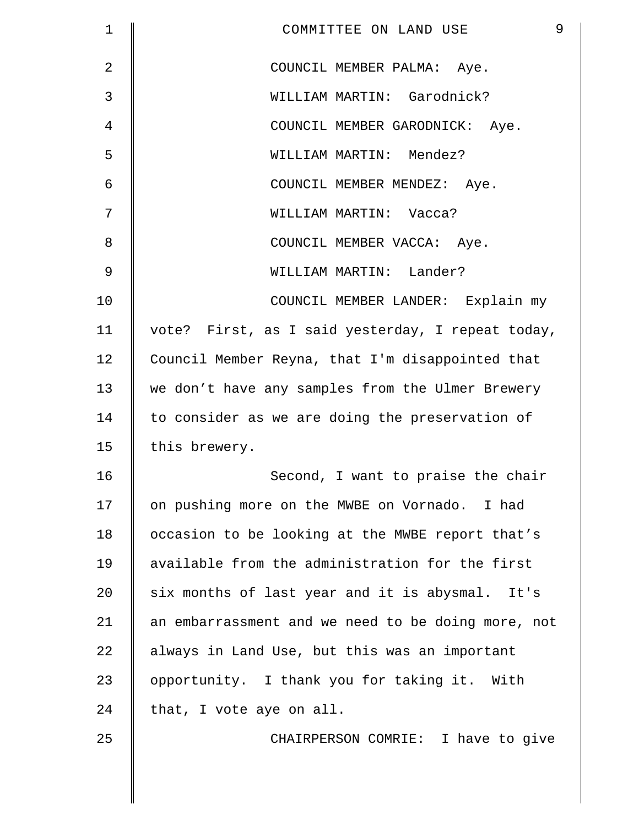| $\mathbf 1$ | 9<br>COMMITTEE ON LAND USE                         |
|-------------|----------------------------------------------------|
| 2           | COUNCIL MEMBER PALMA: Aye.                         |
| 3           | WILLIAM MARTIN: Garodnick?                         |
| 4           | COUNCIL MEMBER GARODNICK: Aye.                     |
| 5           | WILLIAM MARTIN: Mendez?                            |
| 6           | COUNCIL MEMBER MENDEZ: Aye.                        |
| 7           | WILLIAM MARTIN: Vacca?                             |
| 8           | COUNCIL MEMBER VACCA: Aye.                         |
| $\mathsf 9$ | WILLIAM MARTIN: Lander?                            |
| 10          | COUNCIL MEMBER LANDER: Explain my                  |
| 11          | vote? First, as I said yesterday, I repeat today,  |
| 12          | Council Member Reyna, that I'm disappointed that   |
| 13          | we don't have any samples from the Ulmer Brewery   |
| 14          | to consider as we are doing the preservation of    |
| 15          | this brewery.                                      |
| 16          | Second, I want to praise the chair                 |
| 17          | on pushing more on the MWBE on Vornado. I had      |
| 18          | occasion to be looking at the MWBE report that's   |
| 19          | available from the administration for the first    |
| 20          | six months of last year and it is abysmal. It's    |
| 21          | an embarrassment and we need to be doing more, not |
| 22          | always in Land Use, but this was an important      |
| 23          | opportunity. I thank you for taking it. With       |
| 24          | that, I vote aye on all.                           |
| 25          | CHAIRPERSON COMRIE: I have to give                 |
|             |                                                    |
|             |                                                    |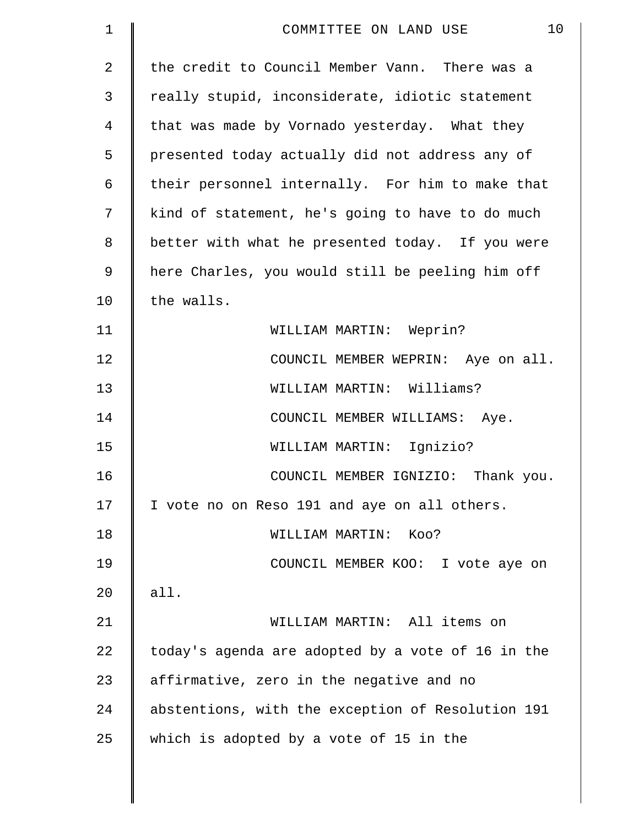| $\mathbf 1$ | 10<br>COMMITTEE ON LAND USE                       |
|-------------|---------------------------------------------------|
| 2           | the credit to Council Member Vann. There was a    |
| 3           | really stupid, inconsiderate, idiotic statement   |
| 4           | that was made by Vornado yesterday. What they     |
| 5           | presented today actually did not address any of   |
| 6           | their personnel internally. For him to make that  |
| 7           | kind of statement, he's going to have to do much  |
| 8           | better with what he presented today. If you were  |
| 9           | here Charles, you would still be peeling him off  |
| 10          | the walls.                                        |
| 11          | WILLIAM MARTIN: Weprin?                           |
| 12          | COUNCIL MEMBER WEPRIN: Aye on all.                |
| 13          | WILLIAM MARTIN: Williams?                         |
| 14          | COUNCIL MEMBER WILLIAMS: Aye.                     |
| 15          | WILLIAM MARTIN: Ignizio?                          |
| 16          | COUNCIL MEMBER IGNIZIO: Thank you.                |
| 17          | I vote no on Reso 191 and aye on all others.      |
| 18          | WILLIAM MARTIN:<br>Koo?                           |
| 19          | COUNCIL MEMBER KOO: I vote aye on                 |
| 20          | all.                                              |
| 21          | WILLIAM MARTIN: All items on                      |
| 22          | today's agenda are adopted by a vote of 16 in the |
| 23          | affirmative, zero in the negative and no          |
| 24          | abstentions, with the exception of Resolution 191 |
| 25          | which is adopted by a vote of 15 in the           |
|             |                                                   |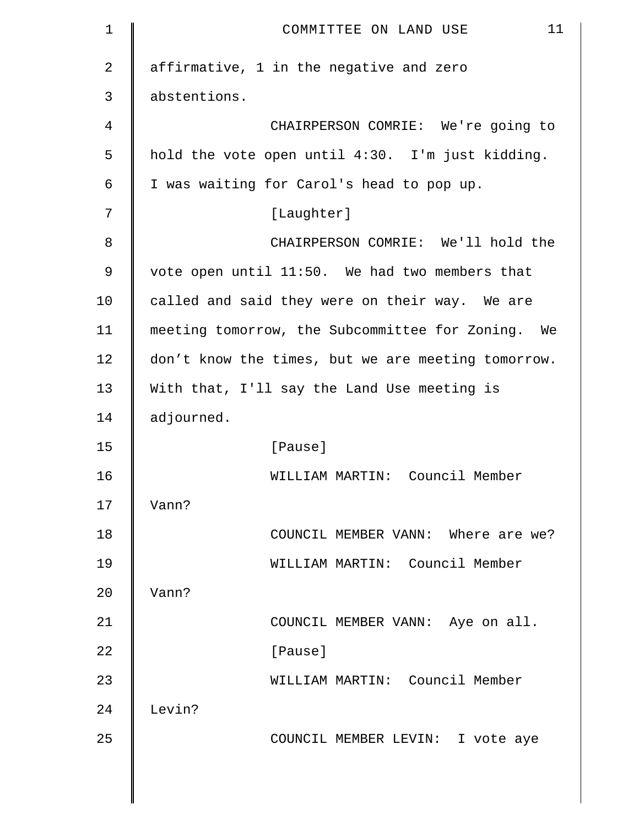| $\mathbf 1$    | 11<br>COMMITTEE ON LAND USE                        |
|----------------|----------------------------------------------------|
| $\overline{2}$ | affirmative, 1 in the negative and zero            |
| 3              | abstentions.                                       |
| 4              | CHAIRPERSON COMRIE: We're going to                 |
| 5              | hold the vote open until 4:30. I'm just kidding.   |
| 6              | I was waiting for Carol's head to pop up.          |
| 7              | [Laughter]                                         |
| 8              | CHAIRPERSON COMRIE: We'll hold the                 |
| 9              | vote open until 11:50. We had two members that     |
| 10             | called and said they were on their way. We are     |
| 11             | meeting tomorrow, the Subcommittee for Zoning. We  |
| 12             | don't know the times, but we are meeting tomorrow. |
| 13             | With that, I'll say the Land Use meeting is        |
| 14             | adjourned.                                         |
| 15             | [Pause]                                            |
| 16             | WILLIAM MARTIN: Council Member                     |
| 17             | Vann?                                              |
| 18             | COUNCIL MEMBER VANN: Where are we?                 |
| 19             | WILLIAM MARTIN: Council Member                     |
| 20             | Vann?                                              |
| 21             | COUNCIL MEMBER VANN: Aye on all.                   |
| 22             | [Pause]                                            |
| 23             | WILLIAM MARTIN: Council Member                     |
| 24             | Levin?                                             |
| 25             | COUNCIL MEMBER LEVIN: I vote aye                   |
|                |                                                    |
|                |                                                    |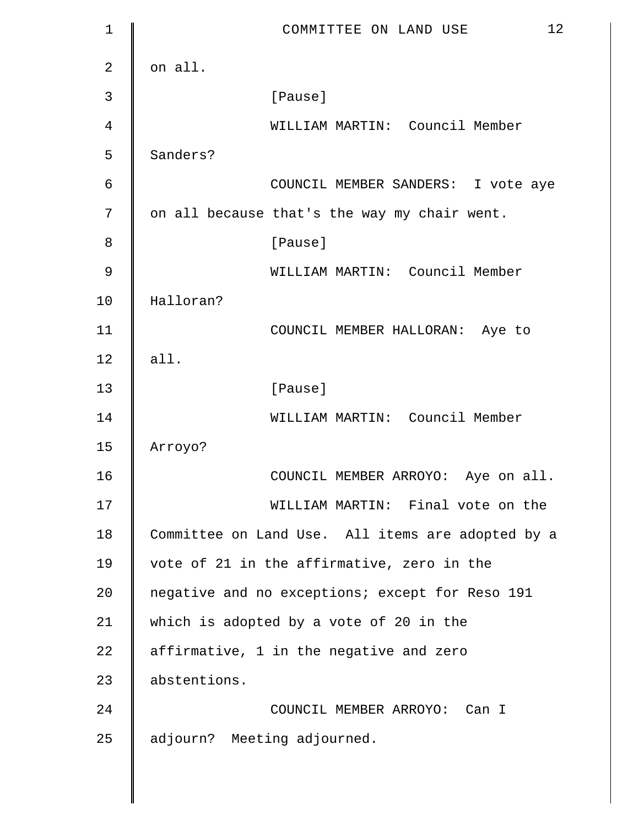| 1              | 12<br>COMMITTEE ON LAND USE                       |
|----------------|---------------------------------------------------|
| $\overline{2}$ | on all.                                           |
| 3              | [Pause]                                           |
| 4              | WILLIAM MARTIN: Council Member                    |
| 5              | Sanders?                                          |
| 6              | COUNCIL MEMBER SANDERS: I vote aye                |
| 7              | on all because that's the way my chair went.      |
| 8              | [Pause]                                           |
| 9              | WILLIAM MARTIN: Council Member                    |
| 10             | Halloran?                                         |
| 11             | COUNCIL MEMBER HALLORAN: Aye to                   |
| 12             | all.                                              |
| 13             | [Pause]                                           |
| 14             | WILLIAM MARTIN: Council Member                    |
| 15             | Arroyo?                                           |
| 16             | COUNCIL MEMBER ARROYO: Aye on all.                |
| 17             | WILLIAM MARTIN: Final vote on the                 |
| 18             | Committee on Land Use. All items are adopted by a |
| 19             | vote of 21 in the affirmative, zero in the        |
| 20             | negative and no exceptions; except for Reso 191   |
| 21             | which is adopted by a vote of 20 in the           |
| 22             | affirmative, 1 in the negative and zero           |
| 23             | abstentions.                                      |
| 24             | COUNCIL MEMBER ARROYO: Can I                      |
| 25             | adjourn? Meeting adjourned.                       |
|                |                                                   |

 $\parallel$